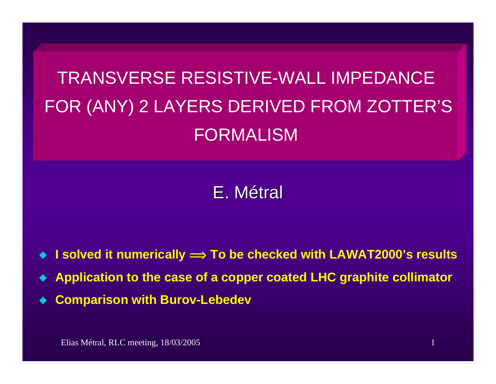TRANSVERSE RESISTIVE-WALL IMPEDANCEFOR (ANY) 2 LAYERS DERIVED FROM ZOTTER'S FORMALISM

## E.Métral

- ♦ ◆ I solved it numerically  $\Longrightarrow$  To be checked with LAWAT2000's results
- ♦ **Application to the case of a copper coated LHC graphite collimator**
- ♦ **Comparison with Burov-Lebedev**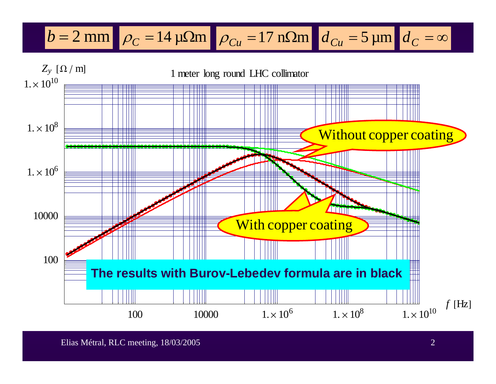